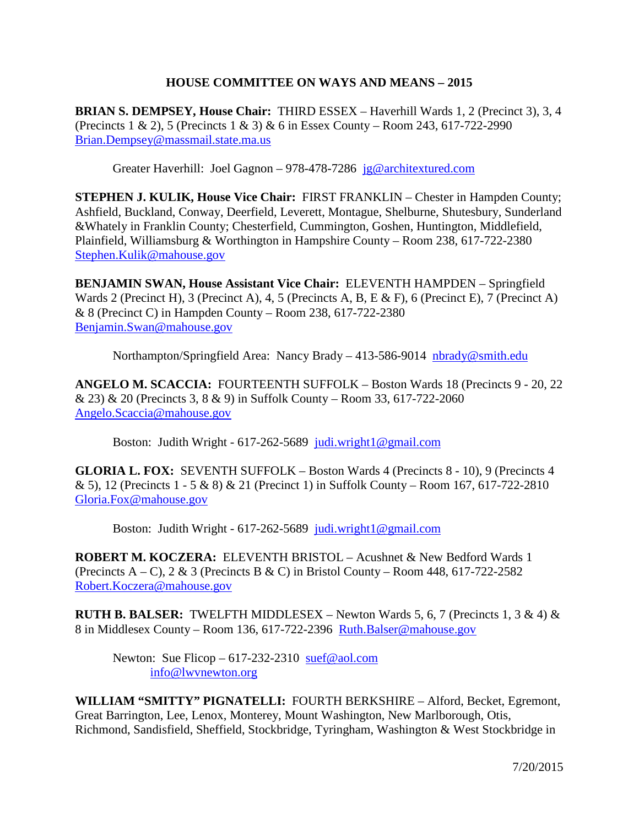## **HOUSE COMMITTEE ON WAYS AND MEANS – 2015**

**BRIAN S. DEMPSEY, House Chair:** THIRD ESSEX – Haverhill Wards 1, 2 (Precinct 3), 3, 4 (Precincts 1 & 2), 5 (Precincts 1 & 3) & 6 in Essex County – Room 243, 617-722-2990 [Brian.Dempsey@massmail.state.ma.us](mailto:Brian.Dempsey@massmail.state.ma.us)

Greater Haverhill: Joel Gagnon – 978-478-7286 [jg@architextured.com](mailto:jg@architextured.com)

**STEPHEN J. KULIK, House Vice Chair:** FIRST FRANKLIN – Chester in Hampden County; Ashfield, Buckland, Conway, Deerfield, Leverett, Montague, Shelburne, Shutesbury, Sunderland &Whately in Franklin County; Chesterfield, Cummington, Goshen, Huntington, Middlefield, Plainfield, Williamsburg & Worthington in Hampshire County – Room 238, 617-722-2380 [Stephen.Kulik@mahouse.gov](mailto:Stephen.Kulik@mahouse.gov)

**BENJAMIN SWAN, House Assistant Vice Chair:** ELEVENTH HAMPDEN – Springfield Wards 2 (Precinct H), 3 (Precinct A), 4, 5 (Precincts A, B, E & F), 6 (Precinct E), 7 (Precinct A) & 8 (Precinct C) in Hampden County – Room 238, 617-722-2380 [Benjamin.Swan@mahouse.gov](mailto:Benjamin.Swan@mahouse.gov)

Northampton/Springfield Area: Nancy Brady – 413-586-9014 [nbrady@smith.edu](mailto:nbrady@smith.edu)

**ANGELO M. SCACCIA:** FOURTEENTH SUFFOLK – Boston Wards 18 (Precincts 9 - 20, 22 & 23) & 20 (Precincts 3, 8 & 9) in Suffolk County – Room 33, 617-722-2060 [Angelo.Scaccia@mahouse.gov](mailto:Angelo.Scaccia@mahouse.gov)

Boston: Judith Wright - 617-262-5689 [judi.wright1@gmail.com](mailto:judi.wright1@gmail.com) 

**GLORIA L. FOX:** SEVENTH SUFFOLK – Boston Wards 4 (Precincts 8 - 10), 9 (Precincts 4 & 5), 12 (Precincts 1 - 5 & 8) & 21 (Precinct 1) in Suffolk County – Room 167, 617-722-2810 [Gloria.Fox@mahouse.gov](mailto:Gloria.Fox@mahouse.gov)

Boston: Judith Wright - 617-262-5689 [judi.wright1@gmail.com](mailto:judi.wright1@gmail.com) 

**ROBERT M. KOCZERA:** ELEVENTH BRISTOL – Acushnet & New Bedford Wards 1 (Precincts A – C),  $2 \& 3$  (Precincts B  $\&$  C) in Bristol County – Room 448, 617-722-2582 [Robert.Koczera@mahouse.gov](mailto:Robert.Koczera@mahouse.gov)

**RUTH B. BALSER:** TWELFTH MIDDLESEX – Newton Wards 5, 6, 7 (Precincts 1, 3  $\&$  4)  $\&$ 8 in Middlesex County – Room 136, 617-722-2396 [Ruth.Balser@mahouse.gov](mailto:Ruth.Balser@mahouse.gov)

Newton: Sue Flicop –  $617-232-2310 \text{ suef} \textcircled{a}$  aol.com [info@lwvnewton.org](mailto:info@lwvnewton.org)

**WILLIAM "SMITTY" PIGNATELLI:** FOURTH BERKSHIRE – Alford, Becket, Egremont, Great Barrington, Lee, Lenox, Monterey, Mount Washington, New Marlborough, Otis, Richmond, Sandisfield, Sheffield, Stockbridge, Tyringham, Washington & West Stockbridge in

7/20/2015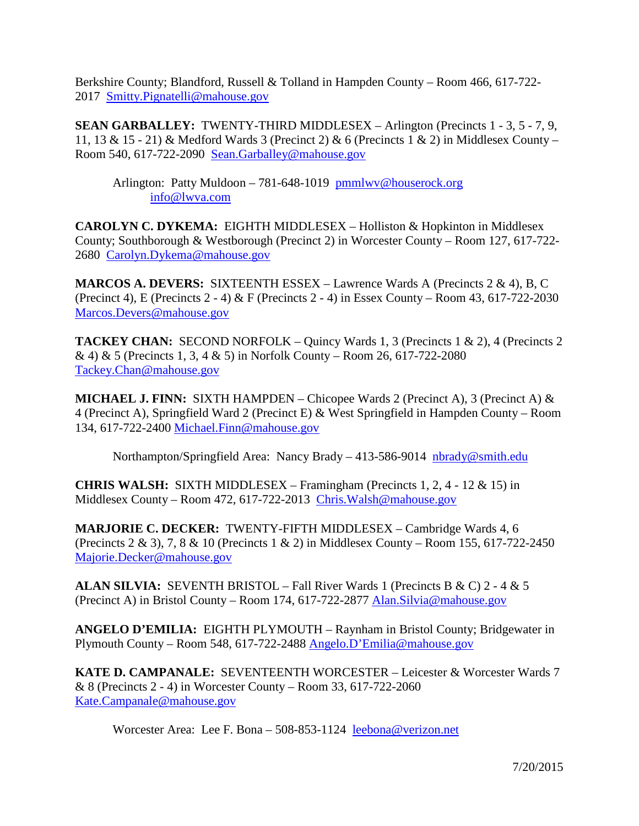Berkshire County; Blandford, Russell & Tolland in Hampden County – Room 466, 617-722- 2017 [Smitty.Pignatelli@mahouse.gov](mailto:Smitty.Pignatelli@mahouse.gov)

**SEAN GARBALLEY:** TWENTY-THIRD MIDDLESEX – Arlington (Precincts 1 - 3, 5 - 7, 9, 11, 13 & 15 - 21) & Medford Wards 3 (Precinct 2) & 6 (Precincts 1 & 2) in Middlesex County – Room 540, 617-722-2090 [Sean.Garballey@mahouse.gov](mailto:Sean.Garballey@mahouse.gov)

Arlington: Patty Muldoon – 781-648-1019 [pmmlwv@houserock.org](mailto:pmmlwv@houserock.org) [info@lwva.com](mailto:info@lwva.com)

**CAROLYN C. DYKEMA:** EIGHTH MIDDLESEX – Holliston & Hopkinton in Middlesex County; Southborough & Westborough (Precinct 2) in Worcester County – Room 127, 617-722- 2680 [Carolyn.Dykema@mahouse.gov](mailto:Carolyn.Dykema@mahouse.gov)

**MARCOS A. DEVERS:** SIXTEENTH ESSEX – Lawrence Wards A (Precincts 2 & 4), B, C (Precinct 4), E (Precincts 2 - 4) & F (Precincts 2 - 4) in Essex County – Room 43, 617-722-2030 [Marcos.Devers@mahouse.gov](mailto:Marcos.Devers@mahouse.gov)

**TACKEY CHAN:** SECOND NORFOLK – Quincy Wards 1, 3 (Precincts 1 & 2), 4 (Precincts 2 & 4) & 5 (Precincts 1, 3, 4 & 5) in Norfolk County – Room 26, 617-722-2080 [Tackey.Chan@mahouse.gov](mailto:Tackey.Chan@mahouse.gov) 

**MICHAEL J. FINN:** SIXTH HAMPDEN – Chicopee Wards 2 (Precinct A), 3 (Precinct A) & 4 (Precinct A), Springfield Ward 2 (Precinct E) & West Springfield in Hampden County – Room 134, 617-722-2400 [Michael.Finn@mahouse.gov](mailto:Michael.Finn@mahouse.gov)

Northampton/Springfield Area: Nancy Brady – 413-586-9014 [nbrady@smith.edu](mailto:nbrady@smith.edu)

**CHRIS WALSH:** SIXTH MIDDLESEX – Framingham (Precincts 1, 2, 4 - 12 & 15) in Middlesex County – Room 472, 617-722-2013 [Chris.Walsh@mahouse.gov](mailto:Chris.Walsh@mahouse.gov)

**MARJORIE C. DECKER:** TWENTY-FIFTH MIDDLESEX – Cambridge Wards 4, 6 (Precincts 2 & 3), 7, 8 & 10 (Precincts 1 & 2) in Middlesex County – Room 155, 617-722-2450 [Majorie.Decker@mahouse.gov](mailto:Majorie.Decker@mahouse.gov)

**ALAN SILVIA:** SEVENTH BRISTOL – Fall River Wards 1 (Precincts B & C) 2 - 4 & 5 (Precinct A) in Bristol County – Room 174, 617-722-2877 [Alan.Silvia@mahouse.gov](mailto:Alan.Silvia@mahouse.gov)

**ANGELO D'EMILIA:** EIGHTH PLYMOUTH – Raynham in Bristol County; Bridgewater in Plymouth County – Room 548, 617-722-2488 [Angelo.D'Emilia@mahouse.gov](mailto:Angelo.DEmilia@mahouse.gov)

**KATE D. CAMPANALE:** SEVENTEENTH WORCESTER – Leicester & Worcester Wards 7 & 8 (Precincts 2 - 4) in Worcester County – Room 33, 617-722-2060 [Kate.Campanale@mahouse.gov](mailto:Kate.Campanale@mahouse.gov)

Worcester Area: Lee F. Bona – 508-853-1124 [leebona@verizon.net](mailto:leebona@verizon.net)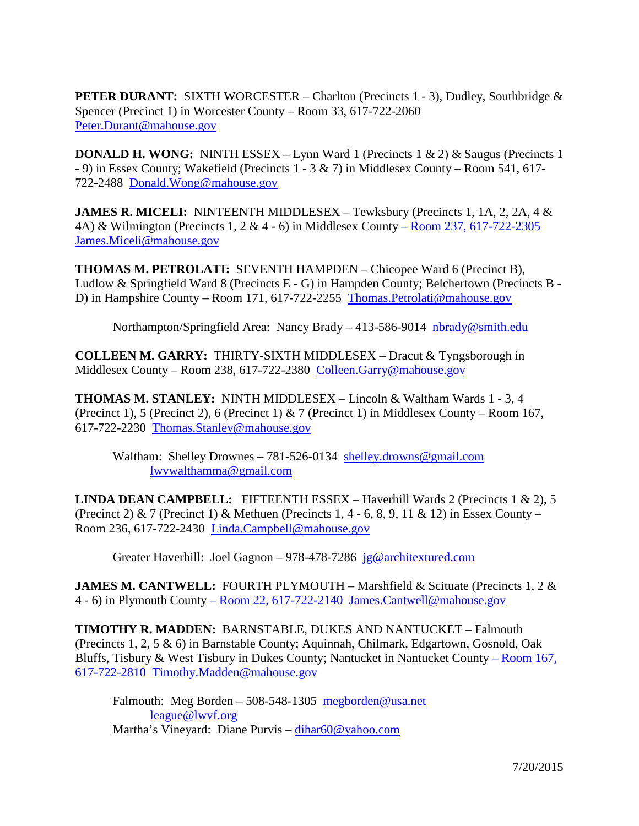**PETER DURANT:** SIXTH WORCESTER – Charlton (Precincts 1 - 3), Dudley, Southbridge & Spencer (Precinct 1) in Worcester County – Room 33, 617-722-2060 [Peter.Durant@mahouse.gov](mailto:Peter.Durant@mahouse.gov)

**DONALD H. WONG:** NINTH ESSEX – Lynn Ward 1 (Precincts 1 & 2) & Saugus (Precincts 1 - 9) in Essex County; Wakefield (Precincts 1 - 3 & 7) in Middlesex County – Room 541, 617- 722-2488 [Donald.Wong@mahouse.gov](mailto:Donald.Wong@mahouse.gov)

**JAMES R. MICELI:** NINTEENTH MIDDLESEX – Tewksbury (Precincts 1, 1A, 2, 2A, 4 & 4A) & Wilmington (Precincts 1, 2 & 4 - 6) in Middlesex County – Room 237, 617-722-2305 [James.Miceli@mahouse.gov](mailto:James.Miceli@mahouse.gov)

**THOMAS M. PETROLATI:** SEVENTH HAMPDEN – Chicopee Ward 6 (Precinct B), Ludlow & Springfield Ward 8 (Precincts E - G) in Hampden County; Belchertown (Precincts B - D) in Hampshire County – Room 171, 617-722-2255 [Thomas.Petrolati@mahouse.gov](mailto:Thomas.Petrolati@mahouse.gov)

Northampton/Springfield Area: Nancy Brady – 413-586-9014 [nbrady@smith.edu](mailto:nbrady@smith.edu)

**COLLEEN M. GARRY:** THIRTY-SIXTH MIDDLESEX – Dracut & Tyngsborough in Middlesex County – Room 238, 617-722-2380 [Colleen.Garry@mahouse.gov](mailto:Colleen.Garry@mahouse.gov)

**THOMAS M. STANLEY:** NINTH MIDDLESEX – Lincoln & Waltham Wards 1 - 3, 4 (Precinct 1), 5 (Precinct 2), 6 (Precinct 1) & 7 (Precinct 1) in Middlesex County – Room 167, 617-722-2230 [Thomas.Stanley@mahouse.gov](mailto:Thomas.Stanley@mahouse.gov)

Waltham: Shelley Drownes - 781-526-0134 [shelley.drowns@gmail.com](mailto:shelley.drowns@gmail.com) [lwvwalthamma@gmail.com](mailto:lwvwalthamma@gmail.com)

**LINDA DEAN CAMPBELL:** FIFTEENTH ESSEX – Haverhill Wards 2 (Precincts 1 & 2), 5 (Precinct 2) & 7 (Precinct 1) & Methuen (Precincts 1, 4 - 6, 8, 9, 11 & 12) in Essex County – Room 236, 617-722-2430 [Linda.Campbell@mahouse.gov](mailto:Linda.Campbell@mahouse.gov)

Greater Haverhill: Joel Gagnon – 978-478-7286 [jg@architextured.com](mailto:jg@architextured.com)

**JAMES M. CANTWELL:** FOURTH PLYMOUTH – Marshfield & Scituate (Precincts 1, 2 & 4 - 6) in Plymouth County – Room 22, 617-722-2140 [James.Cantwell@mahouse.gov](mailto:James.Cantwell@mahouse.gov)

**TIMOTHY R. MADDEN:** BARNSTABLE, DUKES AND NANTUCKET – Falmouth (Precincts 1, 2, 5 & 6) in Barnstable County; Aquinnah, Chilmark, Edgartown, Gosnold, Oak Bluffs, Tisbury & West Tisbury in Dukes County; Nantucket in Nantucket County – Room 167, 617-722-2810 [Timothy.Madden@mahouse.gov](mailto:Timothy.Madden@mahouse.gov)

Falmouth: Meg Borden – 508-548-1305 [megborden@usa.net](mailto:megborden@usa.net) [league@lwvf.org](mailto:league@lwvf.org) Martha's Vineyard: Diane Purvis – [dihar60@yahoo.com](mailto:dihar60@yahoo.com)